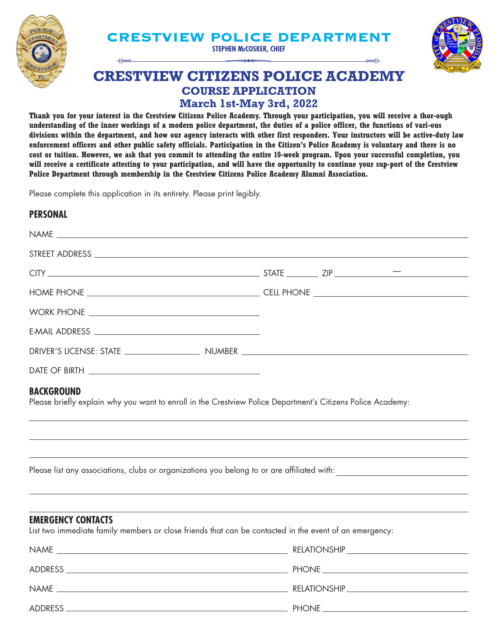

# **CRESTVIEW POLICE DEPARTMENT**<br>
STEPHEN McCOSKER, CHIEF<br>
RESTVIEW CITIZENS DOLICE ACADEM

**STEPHEN McCOSKER, CHIEF**



# **CRESTVIEW CITIZENS POLICE ACADEMY COURSE APPLICATION March 1st-May 3rd, 2022**

**Thank you for your interest in the Crestview Citizens Police Academy. Through your participation, you will receive a thor-ough understanding of the inner workings of a modern police department, the duties of a police officer, the functions of vari-ous divisions within the department, and how our agency interacts with other first responders. Your instructors will be active-duty law enforcement officers and other public safety officials. Participation in the Citizen's Police Academy is voluntary and there is no cost or tuition. However, we ask that you commit to attending the entire 10-week program. Upon your successful completion, you will receive a certificate attesting to your participation, and will have the opportunity to continue your sup-port of the Crestview Police Department through membership in the Crestview Citizens Police Academy Alumni Association.**

Please complete this application in its entirety. Please print legibly.

### **PERSONAL**

| STREET ADDRESS <b>And All And All And All And All And All And All And All And All And All And All And All And All And All And All And All And All And All And All And All And All And All And All And All And All And All And Al</b> |                     |                                                                                                                                                 |
|--------------------------------------------------------------------------------------------------------------------------------------------------------------------------------------------------------------------------------------|---------------------|-------------------------------------------------------------------------------------------------------------------------------------------------|
| $CITY$ $T = 2IP$ $T = 2IP$                                                                                                                                                                                                           |                     |                                                                                                                                                 |
|                                                                                                                                                                                                                                      |                     |                                                                                                                                                 |
|                                                                                                                                                                                                                                      |                     |                                                                                                                                                 |
|                                                                                                                                                                                                                                      |                     |                                                                                                                                                 |
|                                                                                                                                                                                                                                      |                     |                                                                                                                                                 |
|                                                                                                                                                                                                                                      |                     |                                                                                                                                                 |
| <b>BACKGROUND</b><br>Please briefly explain why you want to enroll in the Crestview Police Department's Citizens Police Academy:<br>,我们也不能会有什么。""我们的人,我们也不能会有什么?""我们的人,我们也不能会有什么?""我们的人,我们也不能会有什么?""我们的人,我们也不能会有什么?""                |                     |                                                                                                                                                 |
|                                                                                                                                                                                                                                      |                     |                                                                                                                                                 |
| <b>EMERGENCY CONTACTS</b><br>List two immediate family members or close friends that can be contacted in the event of an emergency:                                                                                                  |                     | ,我们也不能在这里的时候,我们也不能在这里的时候,我们也不能会不能会不能会不能会不能会不能会不能会不能会不能会不能会。<br>第2012章 我们的时候,我们的时候,我们的时候,我们的时候,我们的时候,我们的时候,我们的时候,我们的时候,我们的时候,我们的时候,我们的时候,我们的时候,我 |
| <b>NAMF</b>                                                                                                                                                                                                                          | <b>RELATIONSHIP</b> |                                                                                                                                                 |

| <b>NAME</b>                                                                                                     | RELATIONSHIP |
|-----------------------------------------------------------------------------------------------------------------|--------------|
| the contract of the contract of the contract of the contract of the contract of the contract of the contract of |              |
| ADDRESS                                                                                                         | <b>PHONE</b> |
| <b>NAME</b>                                                                                                     | RELATIONSHIP |
|                                                                                                                 |              |
| ADDRESS                                                                                                         | <b>PHONE</b> |
|                                                                                                                 |              |